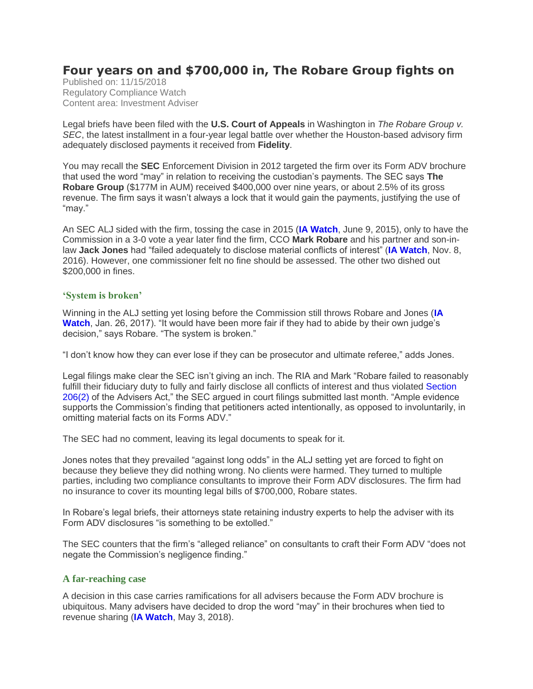# **Four years on and \$700,000 in, The Robare Group fights on**

Published on: 11/15/2018 Regulatory Compliance Watch Content area: Investment Adviser

Legal briefs have been filed with the **U.S. Court of Appeals** in Washington in *The Robare Group v. SEC*, the latest installment in a four-year legal battle over whether the Houston-based advisory firm adequately disclosed payments it received from **Fidelity**.

You may recall the **SEC** Enforcement Division in 2012 targeted the firm over its Form ADV brochure that used the word "may" in relation to receiving the custodian's payments. The SEC says **The Robare Group** (\$177M in AUM) received \$400,000 over nine years, or about 2.5% of its gross revenue. The firm says it wasn't always a lock that it would gain the payments, justifying the use of "may."

An SEC ALJ sided with the firm, tossing the case in 2015 (**[IA Watch](https://protect-us.mimecast.com/s/oVLuC2k19VIVBlYjfB6czE?domain=regcompliancewatch.com)**, June 9, 2015), only to have the Commission in a 3-0 vote a year later find the firm, CCO **Mark Robare** and his partner and son-inlaw **Jack Jones** had "failed adequately to disclose material conflicts of interest" (**[IA Watch](https://protect-us.mimecast.com/s/7jf0C31K9WsXyAkBuDG9Ek?domain=regcompliancewatch.com)**, Nov. 8, 2016). However, one commissioner felt no fine should be assessed. The other two dished out \$200,000 in fines.

# **'System is broken'**

Winning in the ALJ setting yet losing before the Commission still throws Robare and Jones (**[IA](https://protect-us.mimecast.com/s/JZrbC4xY9XIzD0VoSVx8OW?domain=regcompliancewatch.com)  [Watch](https://protect-us.mimecast.com/s/JZrbC4xY9XIzD0VoSVx8OW?domain=regcompliancewatch.com)**, Jan. 26, 2017). "It would have been more fair if they had to abide by their own judge's decision," says Robare. "The system is broken."

"I don't know how they can ever lose if they can be prosecutor and ultimate referee," adds Jones.

Legal filings make clear the SEC isn't giving an inch. The RIA and Mark "Robare failed to reasonably fulfill their fiduciary duty to fully and fairly disclose all conflicts of interest and thus violated [Section](https://protect-us.mimecast.com/s/SMmtC5y1WYHMXjJvU8qSMY?domain=regcompliancewatch.com)  [206\(2\)](https://protect-us.mimecast.com/s/SMmtC5y1WYHMXjJvU8qSMY?domain=regcompliancewatch.com) of the Advisers Act," the SEC argued in court filings submitted last month. "Ample evidence supports the Commission's finding that petitioners acted intentionally, as opposed to involuntarily, in omitting material facts on its Forms ADV."

The SEC had no comment, leaving its legal documents to speak for it.

Jones notes that they prevailed "against long odds" in the ALJ setting yet are forced to fight on because they believe they did nothing wrong. No clients were harmed. They turned to multiple parties, including two compliance consultants to improve their Form ADV disclosures. The firm had no insurance to cover its mounting legal bills of \$700,000, Robare states.

In Robare's legal briefs, their attorneys state retaining industry experts to help the adviser with its Form ADV disclosures "is something to be extolled."

The SEC counters that the firm's "alleged reliance" on consultants to craft their Form ADV "does not negate the Commission's negligence finding."

# **A far-reaching case**

A decision in this case carries ramifications for all advisers because the Form ADV brochure is ubiquitous. Many advisers have decided to drop the word "may" in their brochures when tied to revenue sharing (**[IA Watch](https://protect-us.mimecast.com/s/qmcmC68z0ZsPpONDcB4pO6?domain=regcompliancewatch.com)**, May 3, 2018).